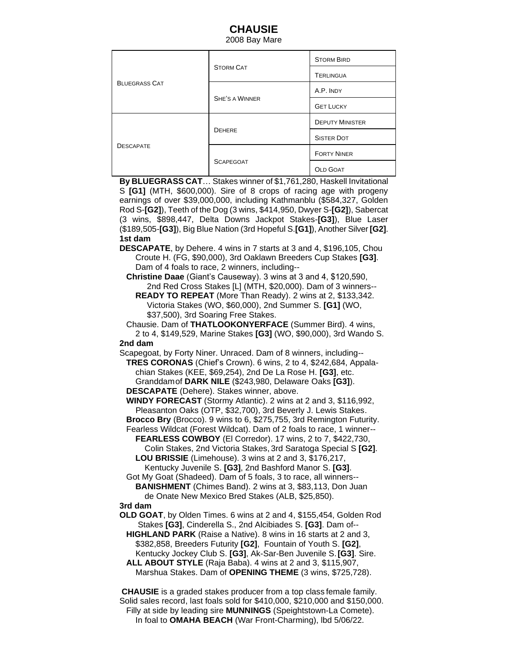## **CHAUSIE**

2008 Bay Mare

| <b>BLUEGRASS CAT</b> | <b>STORM CAT</b>      | <b>STORM BIRD</b>      |
|----------------------|-----------------------|------------------------|
|                      |                       | <b>TERLINGUA</b>       |
|                      | <b>SHE'S A WINNER</b> | A.P. INDY              |
|                      |                       | <b>GET LUCKY</b>       |
| <b>DESCAPATE</b>     | <b>DEHERE</b>         | <b>DEPUTY MINISTER</b> |
|                      |                       | <b>SISTER DOT</b>      |
|                      | <b>SCAPEGOAT</b>      | <b>FORTY NINER</b>     |
|                      |                       | <b>OLD GOAT</b>        |

**By BLUEGRASS CAT**… Stakes winner of \$1,761,280, Haskell Invitational S **[G1]** (MTH, \$600,000). Sire of 8 crops of racing age with progeny earnings of over \$39,000,000, including Kathmanblu (\$584,327, Golden Rod S-**[G2]**), Teeth of the Dog (3 wins, \$414,950, Dwyer S-**[G2]**), Sabercat (3 wins, \$898,447, Delta Downs Jackpot Stakes-**[G3]**), Blue Laser (\$189,505-**[G3]**), Big Blue Nation (3rd Hopeful S.**[G1]**), Another Silver **[G2]**. **1st dam**

**DESCAPATE**, by Dehere. 4 wins in 7 starts at 3 and 4, \$196,105, Chou Croute H. (FG, \$90,000), 3rd Oaklawn Breeders Cup Stakes **[G3]**. Dam of 4 foals to race, 2 winners, including--

 **Christine Daae** (Giant's Causeway). 3 wins at 3 and 4, \$120,590, 2nd Red Cross Stakes [L] (MTH, \$20,000). Dam of 3 winners-- **READY TO REPEAT** (More Than Ready). 2 wins at 2, \$133,342. Victoria Stakes (WO, \$60,000), 2nd Summer S. **[G1]** (WO, \$37,500), 3rd Soaring Free Stakes.

 Chausie. Dam of **THATLOOKONYERFACE** (Summer Bird). 4 wins, 2 to 4, \$149,529, Marine Stakes **[G3]** (WO, \$90,000), 3rd Wando S. **2nd dam**

Scapegoat, by Forty Niner. Unraced. Dam of 8 winners, including--

**TRES CORONAS** (Chief's Crown). 6 wins, 2 to 4, \$242,684, Appala chian Stakes (KEE, \$69,254), 2nd De La Rose H. **[G3]**, etc. Granddamof **DARK NILE** (\$243,980, Delaware Oaks **[G3]**).

**DESCAPATE** (Dehere). Stakes winner, above.

 **WINDY FORECAST** (Stormy Atlantic). 2 wins at 2 and 3, \$116,992, Pleasanton Oaks (OTP, \$32,700), 3rd Beverly J. Lewis Stakes.

 **Brocco Bry** (Brocco). 9 wins to 6, \$275,755, 3rd Remington Futurity. Fearless Wildcat (Forest Wildcat). Dam of 2 foals to race, 1 winner--

 **FEARLESS COWBOY** (El Corredor). 17 wins, 2 to 7, \$422,730, Colin Stakes, 2nd Victoria Stakes, 3rd Saratoga Special S **[G2]**. **LOU BRISSIE** (Limehouse). 3 wins at 2 and 3, \$176,217,

 Kentucky Juvenile S. **[G3]**, 2nd Bashford Manor S. **[G3]**. Got My Goat (Shadeed). Dam of 5 foals, 3 to race, all winners--

 **BANISHMENT** (Chimes Band). 2 wins at 3, \$83,113, Don Juan de Onate New Mexico Bred Stakes (ALB, \$25,850).

## **3rd dam**

**OLD GOAT**, by Olden Times. 6 wins at 2 and 4, \$155,454, Golden Rod Stakes **[G3]**, Cinderella S., 2nd Alcibiades S. **[G3]**. Dam of--

 **HIGHLAND PARK** (Raise a Native). 8 wins in 16 starts at 2 and 3, \$382,858, Breeders Futurity **[G2]**, Fountain of Youth S. **[G2]**, Kentucky Jockey Club S. **[G3]**, Ak-Sar-Ben Juvenile S.**[G3]**. Sire.

 **ALL ABOUT STYLE** (Raja Baba). 4 wins at 2 and 3, \$115,907, Marshua Stakes. Dam of **OPENING THEME** (3 wins, \$725,728).

**CHAUSIE** is a graded stakes producer from a top class female family. Solid sales record, last foals sold for \$410,000, \$210,000 and \$150,000. Filly at side by leading sire **MUNNINGS** (Speightstown-La Comete). In foal to **OMAHA BEACH** (War Front-Charming), lbd 5/06/22.